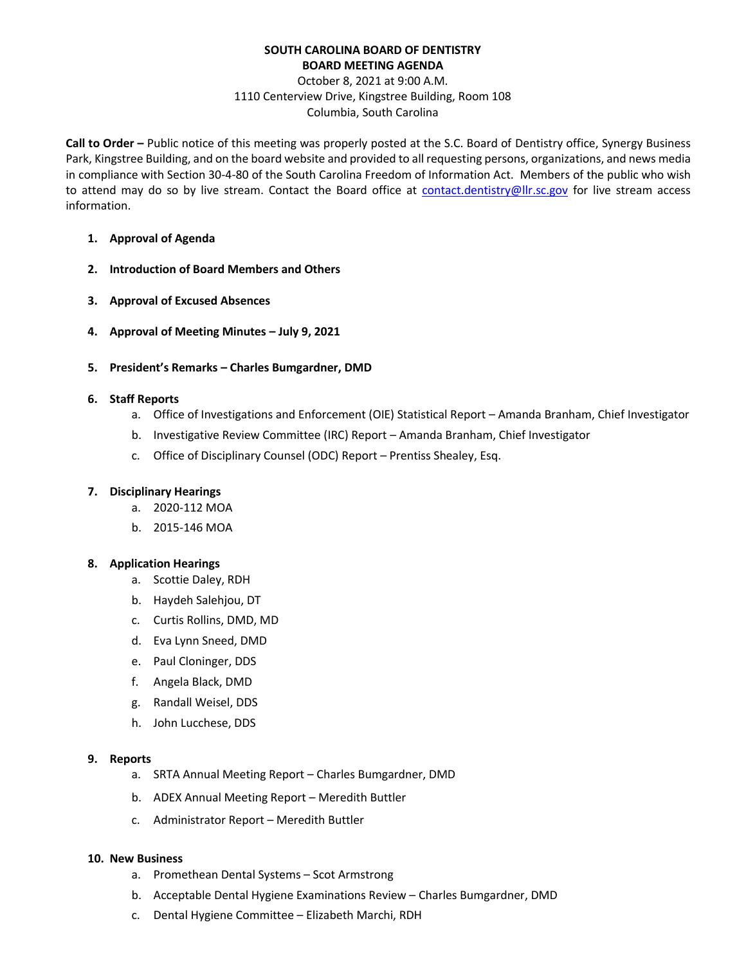# **SOUTH CAROLINA BOARD OF DENTISTRY BOARD MEETING AGENDA**

# October 8, 2021 at 9:00 A.M. 1110 Centerview Drive, Kingstree Building, Room 108 Columbia, South Carolina

**Call to Order –** Public notice of this meeting was properly posted at the S.C. Board of Dentistry office, Synergy Business Park, Kingstree Building, and on the board website and provided to all requesting persons, organizations, and news media in compliance with Section 30-4-80 of the South Carolina Freedom of Information Act. Members of the public who wish to attend may do so by live stream. Contact the Board office at [contact.dentistry@llr.sc.gov](mailto:contact.dentistry@llr.sc.gov) for live stream access information.

- **1. Approval of Agenda**
- **2. Introduction of Board Members and Others**
- **3. Approval of Excused Absences**
- **4. Approval of Meeting Minutes – July 9, 2021**
- **5. President's Remarks – Charles Bumgardner, DMD**

### **6. Staff Reports**

- a. Office of Investigations and Enforcement (OIE) Statistical Report Amanda Branham, Chief Investigator
- b. Investigative Review Committee (IRC) Report Amanda Branham, Chief Investigator
- c. Office of Disciplinary Counsel (ODC) Report Prentiss Shealey, Esq.

### **7. Disciplinary Hearings**

- a. 2020-112 MOA
- b. 2015-146 MOA

### **8. Application Hearings**

- a. Scottie Daley, RDH
- b. Haydeh Salehjou, DT
- c. Curtis Rollins, DMD, MD
- d. Eva Lynn Sneed, DMD
- e. Paul Cloninger, DDS
- f. Angela Black, DMD
- g. Randall Weisel, DDS
- h. John Lucchese, DDS

### **9. Reports**

- a. SRTA Annual Meeting Report Charles Bumgardner, DMD
- b. ADEX Annual Meeting Report Meredith Buttler
- c. Administrator Report Meredith Buttler

### **10. New Business**

- a. Promethean Dental Systems Scot Armstrong
- b. Acceptable Dental Hygiene Examinations Review Charles Bumgardner, DMD
- c. Dental Hygiene Committee Elizabeth Marchi, RDH